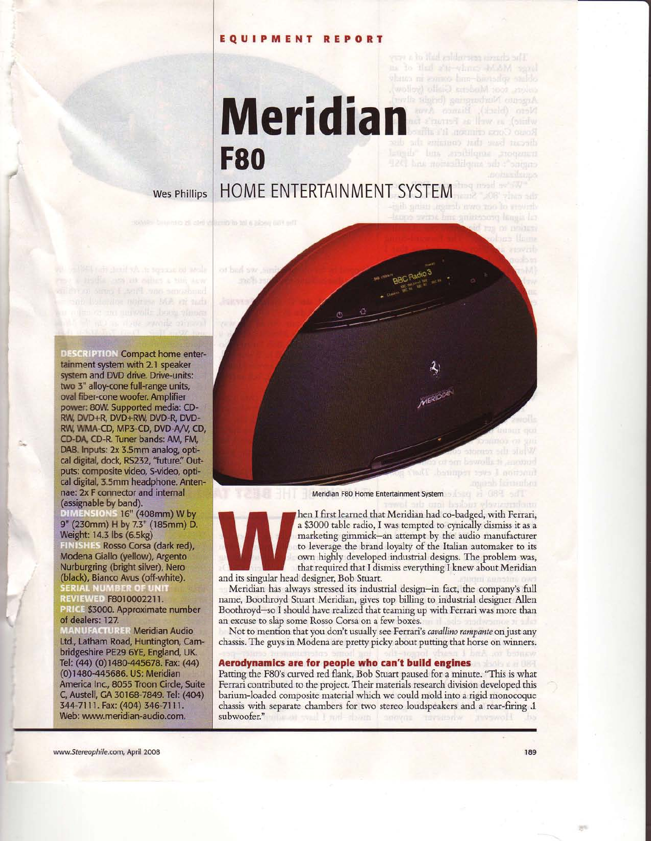# EqUIPMENT REPORT

ing to that she-where's health agool Meridian

Wes Phillips | HOME ENTERTAINMENT SYSTEM

**F80** 

**DESCRIPTION Compact home enter**tainment system with 2.1 speaker system and DVD drive. Drive-units: two 3" alloy-cone full-range units, oval fiber-cone woofer. Amplifier power: 80W. Supported media: CD-RW, DVD+R, DVD+RW, DVD-R, DVD-RW, WMA-CD, MP3-CD, DVD-A/V, CD, CD-DA, CD-R. Tuner bands: AM, FM, DAB. Inputs: 2x 3.5mm analog, optical digital, dock, RS232, "future." Out-<br>puts: composite video, S-video, optical digital, 3.5mm headphone. Antennae: 2x F connector and internal (assignable by band).

DIMENSIONS 16" (408mm) W by 9" (230mm) H by 7.3" (185mm) D. Weight: 14.3 lbs (6.5kg) **FINISHES Rosso Corsa (dark red),<br>Modena Giallo (yellow), Argento** Nurburgring (bright silver), Nero (black), Bianco Avus (off-white).<br>SERIAL NUMBER OF UNIT<br>REVIEWED F8010002211.

RICE \$3000. Approximate number of dealers: 127.

**NUFACTURER Meridian Audio** Ltd., Latham Road, Huntington, Cambridgeshire PE29 6YE, England, UK. Tel: (44) (0)1480-445678. Fax: (44) (0)1480-445686. US: Meridian America Inc., 8055 Troon Circle, Suite C, Austell, GA 30168-7849. Tel: (404) 344-7111. Fax: (404) 346-7111. Web: www.meridian-audio.com.

milli

Meridian F80 Home Entertainment Svstem



hen I first learned that Meridian had co-badged, with Ferrari, a \$3000 table radio, I was tempted to cynically dismiss it as a marketing gimmick-an attempt by the audio manufacturer to leverage the brand loyalty of the Italian automaker to its own highly developed industrial designs. The probiem was, that required that I dismiss everything I knew about Meridian and its singular head designer, Bob Stuart.

Meridian has always stressed its industrial design-in fact, the company's full name, Boothroyd Stuart Meridian, gives top billing to industrial designer Allen Boothroyd-so I should have realized that teaming up with Ferrari was more than an excuse to slap some Rosso Corsa on a few boxes.

Not to mention that you don't usually see Ferrari's *cavallino rampante* on just any chassis. The guys in Modena are pretty picky about putting that horse on winners.

## Aerodynamics are for people who can't build engines

Patting the F80's curved red flank, Bob Stuart paused for a minute. "This is what Ferrari contributed to the project. Their materials research division developed this barium-loaded composite material which we could mold into a rigid monocoque chassis with separate chambers for two stereo loudspeakers and a rear-firing 1 subwoofer."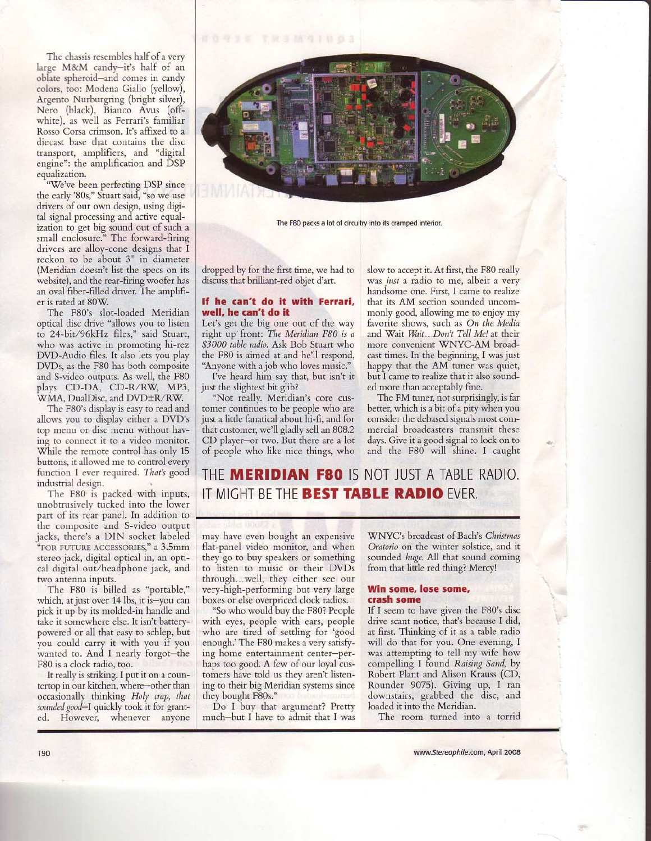TOURS TRAMQINGS

The chassis resembles half of a very laree M&M candv-it's half of an oblate spheroid-and comes in candy colors, too: Modena Giallo (yellow), Argento Nurburgring (bright silver), Nero (black), Bianco Avus (offwhite), as well as Ferrari's familiar Rosso Corsa crimson. It's affixed to a diecast base that contains the disc transport, amplifiers, and "digital engine": the amplification and DSP equalization.

"We've been perfecting DSP since the early'80s," Stuart said, "so we use drivers of our own design, using digital signal processing and active equalization to get big sound out of such a small enclosure." The forward-firin drivers are alloy-cone designs that I reckon to be about 3" in diameter (Meridian doesn't list the specs on its website), and the rear-firing woofer has an oval fiber-filled driver. The amplifier is rated at 80W.

The F80's slot-loaded Meridian optical disc drive "allows you to listen to 24-bit/96kHz files," said Stuart, who was active in promoting hi-rez DVD-Audio files. It also lets you play DVDs, as the F80 has both composite and S-video outputs. As well, the F80 plays CD-DA, CD-R/RW, MP3, WMA, DualDisc, and DVD±R/RW.

The F80's display is easy to read and allows you to display either a DVD's top menu or disc menu without having to connect it to a video monitor. While the remote control has only 15 buttons, it allowed me to control every function I ever required. That's good industrial design.

The F80 is packed with inputs, unobtrusively tucked into the lower part of its rear panel. In addition to the composite and S-video output jacks, there's a DIN socket labeled "roR puTuRE ACCISSoRIES," a 3.5mm stereo jack, digital optical in, an optical digital out/headphone jack, and two antenna inputs.

The F80 is billed as "portable," which, at just over 14 lbs, it is-you can pick it up by its molded-in handle and take it somewhere else. It isn't batterypowered or all that easy to schlep, but you could carry it with you if you wanted to. And I nearly forgot-the F80 is a clock radio, too.

It really is striking. I put it on a countertop in our kitchen, where-other than occasionally thinking Holy crap, that sounded good-I quickly took it for granted. However, whenever anyone



The F80 packs a lot of circuitry into its cramped interior.

dropped by for the first time, we had to discuss that brilliant-red objet d'art.

## If he can't do it with Ferrari, well, he can't do it

Let's get the big one out of the way right up front: The Meridian F80 is a \$3000 table radio. Ask Bob Stuart who the F80 is aimed at and he'll respond, 'Anvone with a iob who loves music."

I've heard him say that, but isn't it just the slightest bit glib?

"Not really. Meridian's core customer continues to be people who are just a little fanatical about hi-fi, and for that customer, we'll gladly sell an 808.2 CD player-or two. But there are a lot of people who like nice things, who slow to accept it. At first, the F80 really was just a radio to me, albeit a very handsome one. First, I came to realize that its AM section sounded uncommonly good, allowing me to enjoy my favorite shows, such as On the Media and Wait Wait...Don't Tell Me! at their more convenient WNYC-AM broadcast times. In the beginning, I was just happy that the AM tuner was quiet, but I came to realize that it also sounded more than acceptably fine.

The FM tuner, not surprisingly, is far better, which is a bit of a pity when you consider the debased signals most commercial broadcasters transmit these days. Give it a good signal to lock on to and the F80 will shine. I caught

# THE MERIDIAN F80 IS NOT JUST A TABLE RADIO. IT MIGHT BE THE BEST TABLE RADIO EVER.

may have even bought an expensive flat-panel video monitor, and when they go to buy speakers or something to listen to music or their DVDs through...well, they either see our very-high-performing but very large boxes or else overpriced clock radios.

"So who would buy the F80? People with eyes, people with ears, people who are tired of settling for 'good enough.'The F80 makes a very satisfying home entertainment center-perhaps too good. A few of our loyal customers have told us they aren't listening to their big Meridian systems since they bought F80s."

Do I buy that argument? Pretty much-but I have to admit that I was 'WNYC's broadcast of Bach's Christmas Oratorio on the winter solstice, and it sounded huge. All that sound coming from that little red thing? Mercy!

### Win some, lose some, crash some

If I seem to have given the F80's disc drive scant notice, that's because I did, at first. Thinking of it as a table radio will do that for you. One evening, I was attempting to tell my wife how compelling I found Raising Sand, by Robert Plant and Alison Krauss (CD, Rounder 9075). Giving up. I ran downstairs, grabbed the disc, and loaded it into the Meridian.

The room turned into a torrid